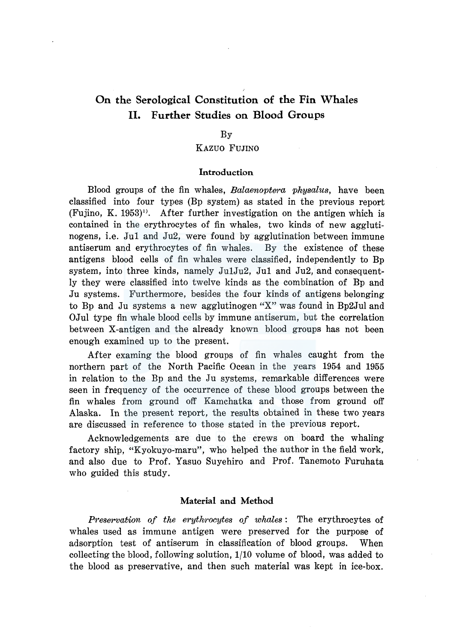# On the Serological Constitution of the Fin Whales II. Further Studies on Blood Groups

# By

## KAZUO FUJINO

### Introduction

Blood groups of the fin whales, *Balaenoptera physalus,* have been classified into four types (Bp system) as stated in the previous report  $(Fujino, K. 1953)$ <sup>1</sup>. After further investigation on the antigen which is contained in the erythrocytes of fin whales, two kinds of new agglutinogens, i.e. Jul and Ju2, were found by agglutination between immune antiserum and erythrocytes of fin whales. By the existence of these antigens blood cells of fin whales were classified, independently to Bp system, into three kinds, namely Ju1Ju2, Jul and Ju2, and consequently they were classified into twelve kinds as the combination of Bp and Ju systems. Furthermore, besides the four kinds of antigens belonging to Bp and Ju systems a new agglutinogen "X" was found in Bp2Jul and OJul type fin whale blood cells by immune antiserum, but the correlation between X-antigen and the already known blood groups has not been enough examined up to the present.

After examing the blood groups of fin whales caught from the northern part of the North Pacific Ocean in the years 1954 and 1955 in relation to the Bp and the Ju systems, remarkable differences were seen in frequency of the occurrence of these blood groups between the fin whales from ground off Kamchatka and those from ground off Alaska. In the present report, the results obtained in these two years are discussed in reference to those stated in the previous report.

Acknowledgements are due to the crews on board the whaling factory ship, "Kyokuyo-maru", who helped the author in the field work, and also due to Prof. Yasuo Suyehiro and Prof. Tanemoto Furuhata who guided this study.

# Material and Method

*Preservation of the erythrocytes of whales* : The erythrocytes of whales used as immune antigen were preserved for the purpose of adsorption test of antiserum in classification of blood groups. When collecting the blood, following solution, 1/10 volume of blood, was added to the blood as preservative, and then such material was kept in ice-box.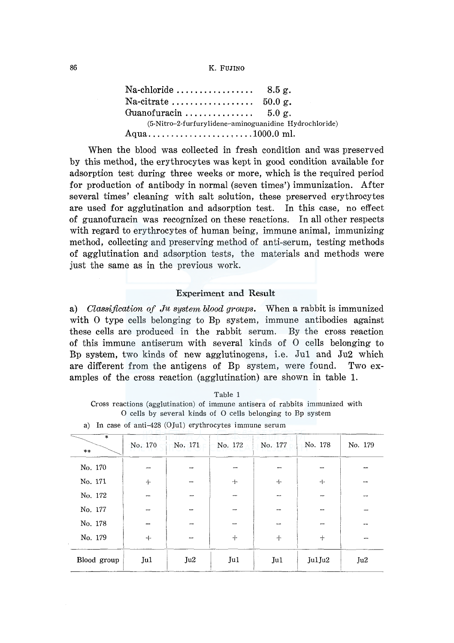#### 86 K. FUJINO

 $Na$ -chloride  $\dots\dots\dots\dots\dots$  8.5 g. Na-citrate  $\dots\dots\dots\dots\dots\dots \quad 50.0$  g. Guanofuracin............... 5.0 g. (5-Nitro-2-furfurylidene-aminoguanidine Hydrochloride) Aqua .................. , .... 1000.0 ml.

When the blood was collected in fresh condition and was preserved by this method, the erythrocytes was kept in good condition available for adsorption test during three weeks or more, which is the required period for production of antibody in normal (seven times') immunization. After several times' cleaning with salt solution, these preserved erythrocytes are used for agglutination and adsorption test. In this case, no effect of guanofuracin was recognized on these reactions. In all other respects with regard to erythrocytes of human being, immune animal, immunizing method, collecting and preserving method of anti-serum, testing methods of agglutination and adsorption tests, the materials and methods were just the same as in the previous work.

#### Experiment and Result

a) *Classification of Ju system blood groups.* When a rabbit is immunized with O type cells belonging to Bp system, immune antibodies against these cells are produced in the rabbit serum. By the cross reaction of this immune antiserum with several kinds of 0 cells belonging to Bp system, two kinds of new agglutinogens, i.e. Jul and Ju2 which are different from the antigens of Bp system, were found. Two examples of the cross reaction (agglutination) are shown in table 1.

| Table 1                                                                      |  |
|------------------------------------------------------------------------------|--|
| Cross reactions (agglutination) of immune antisera of rabbits immunized with |  |
| O cells by several kinds of O cells belonging to Bp system                   |  |

| $\overline{\ast}$<br>$***$ | No. 170                  | No. 171                  | No. 172 | No. 177 | No. 178 | No. 179 |
|----------------------------|--------------------------|--------------------------|---------|---------|---------|---------|
| No. 170                    | $\rightarrow$            | $\overline{\phantom{0}}$ |         |         | --      |         |
| No. 171                    | $+$                      |                          | $+$     | $+$     | $+$     | --      |
| No. 172                    | -                        |                          |         |         | --      |         |
| No. 177                    | $\overline{\phantom{0}}$ |                          |         |         | --      |         |
| No. 178                    |                          |                          |         |         | -       |         |
| No. 179                    | $+$                      |                          | $+$     | $+$     | $+$     |         |
| Blood group                | Ju1                      | Ju2                      | Ju1     | Ju1     | Jul Ju2 | Ju2     |

a) In case of anti-428 (OJul) erythrocytes immune serum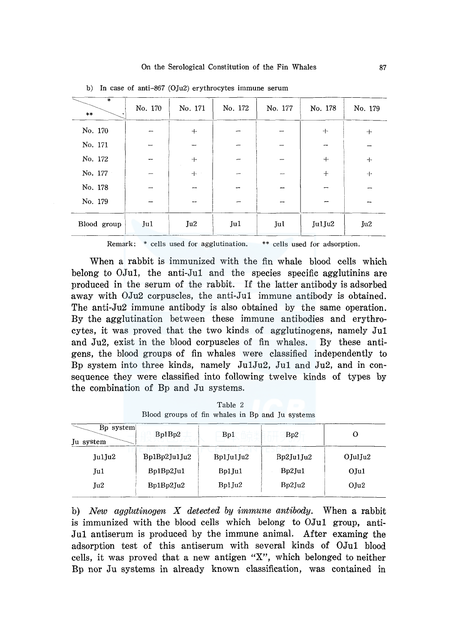|                        |                          |         | $\omega$ in eace of and correspassed transferred immune serving |         |         |         |
|------------------------|--------------------------|---------|-----------------------------------------------------------------|---------|---------|---------|
| $\ast$<br>$\star\star$ | No. 170                  | No. 171 | No. 172                                                         | No. 177 | No. 178 | No. 179 |
| No. 170                |                          | $+$     |                                                                 |         | $+$     | $+$     |
| No. 171                |                          |         |                                                                 |         |         |         |
| No. 172                | --                       | $+$     |                                                                 |         | $+$     | $+$     |
| No. 177                |                          | 十一      |                                                                 |         | $+$     | $+$     |
| No. 178                | $\overline{\phantom{a}}$ |         |                                                                 |         |         |         |
| No. 179                | --                       |         |                                                                 |         |         |         |
| Blood group            | Ju1                      | Ju2     | Ju1                                                             | Jul     | Ju1Ju2  | Ju2     |

b) In case of anti-867 (0Ju2) erythrocytes immune serum

Remark: \* cells used for agglutination. \*\* cells used for adsorption.

When a rabbit is immunized with the fin whale blood cells which belong to OJul, the anti-Jul and the species specific agglutinins are produced in the serum of the rabbit. If the latter antibody is adsorbed away with 0Ju2 corpuscles, the anti-Jul immune antibody is obtained. The anti-Ju2 immune antibody is also obtained by the same operation. By the agglutination between these immune antibodies and erythrocytes, it was proved that the two kinds of agglutinogens, namely Jul and Ju2, exist in the blood corpuscles of fin whales. By these antigens, the blood groups of fin whales were classified independently to Bp system into three kinds, namely Ju1Ju2, Jul and Ju2, and in consequence they were classified into following twelve kinds of types by the combination of Bp and Ju systems.

| B <sub>p</sub> system<br>Bp1Bp2 | Bp1       | Bp2       | U                                                                                          |
|---------------------------------|-----------|-----------|--------------------------------------------------------------------------------------------|
| Bp1Bp2Ju1Ju2                    | Bp1Ju1Ju2 | Bp2Ju1Ju2 | $O$ JulJu $2$                                                                              |
| Bp1Bp2Ju1                       | Bp1Ju1    | Bp2Ju1    | $O$ Jul                                                                                    |
| Bp1Bp2Ju2                       | $Bp1$ Ju2 | Bp2Ju2    | $O$ Ju $2$                                                                                 |
|                                 |           |           | $\mathbf{a}$ is the set of the contract of the world $\mathbf{a}$ is a set of $\mathbf{a}$ |

Table 2 Blood groups of fin whales in Bp and Ju systems

b) *New agglutinogen X detected by immune antibody.* When a rabbit is immunized with the blood cells which belong to OJul group, anti-Jul antiserum is produced by the immune animal. After examing the adsorption test of this antiserum with several kinds of OJul blood cells, it was proved that a new antigen "X", which belonged to neither Bp nor Ju systems in already known classification, was contained in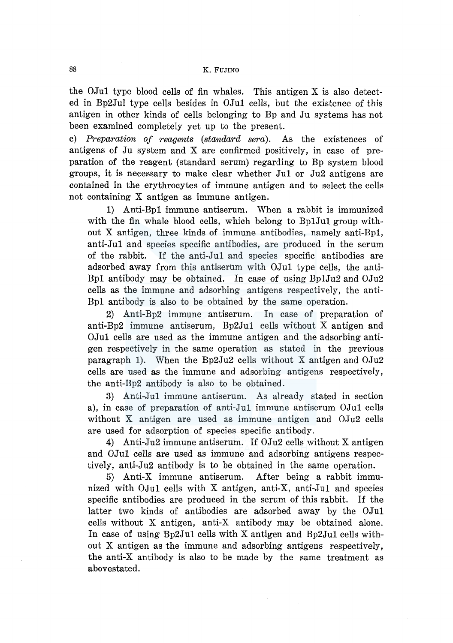the OJul type blood cells of fin whales. This antigen X is also detected in Bp2Jul type cells besides in OJul cells, but the existence of this antigen in other kinds of cells belonging to Bp and Ju systems has not been examined completely yet up to the present.

c) *Preparation of reagents (standard sera).* As the existences of antigens of Ju system and X are confirmed positively, in case of preparation of the reagent (standard serum) regarding to Bp system blood groups, it is necessary to make clear whether Jul or Ju2 antigens are contained in the erythrocytes of immune antigen and to select the cells not containing X antigen as immune antigen.

1) Anti-Bpl immune antiserum. When a rabbit is immunized with the fin whale blood cells, which belong to BplJul group without X antigen, three kinds of immune antibodies, namely anti-Bpl, anti-Jul and species specific antibodies, are produced in the serum of the rabbit. If the anti-Jul and species specific antibodies are adsorbed away from this antiserum with OJul type cells, the anti-Bpl antibody may be obtained. In case of using Bp1Ju2 and 0Ju2 cells as the immune and adsorbing antigens respectively, the anti-Bpl antibody is also to be obtained by the same operation.

2) Anti-Bp2 immune antiserum. In case of preparation of anti-Bp2 immune antiserum, Bp2Jul cells without X antigen and OJul cells are used as the immune antigen and the adsorbing antigen respectively in the same operation as stated in the previous paragraph 1). When the Bp2Ju2 cells without X antigen and 0Ju2 cells are used as the immune and adsorbing antigens respectively, the anti-Bp2 antibody is also to be obtained.

3) Anti-Jul immune antiserum. As already stated in section a), in case of preparation of anti-Jul immune antiserum OJul cells without X antigen are used as immune antigen and 0Ju2 cells are used for adsorption of species specific antibody.

4) Anti-Ju2 immune antiserum. If 0Ju2 cells without X antigen and OJul cells are used as immune and adsorbing antigens respectively, anti-Ju2 antibody is to be obtained in the same operation.

5) Anti-X immune antiserum. After being a rabbit immunized with OJul cells with X antigen, anti-X, anti-Jul and species specific antibodies are produced in the serum of this rabbit. If the latter two kinds of antibodies are adsorbed away by the OJul cells without X antigen, anti-X antibody may be obtained alone. In case of using Bp2Jul cells with X antigen and Bp2Jul cells without X antigen as the immune and adsorbing antigens respectively, the anti-X antibody is also to be made by the same treatment as abovestated.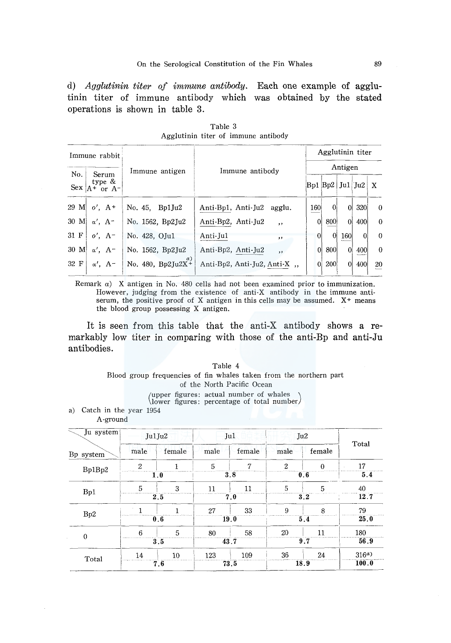d) *Agglutinin titer of immune antibody.*  Each one example of agglutinin titer of immune antibody which was obtained by the stated operations is shown in table 3.

|      | Immune rabbit                            |                                   |                              |                | Agglutinin titer        |                |          |              |  |  |
|------|------------------------------------------|-----------------------------------|------------------------------|----------------|-------------------------|----------------|----------|--------------|--|--|
| No.  |                                          | Immune antigen                    | Immune antibody              | Antigen        |                         |                |          |              |  |  |
|      | Serum<br>type $\&$<br>Sex $A^+$ or $A^-$ |                                   |                              |                | $BD1$ $Bp2$   Ju1   Ju2 |                |          | $\mathbf x$  |  |  |
| 29 M | $o'$ , $A^+$                             | No. $45.$ Bp1Ju2                  | Anti-Bp1, Anti-Ju2<br>agglu. | 160            | $\theta$                | $\Omega$       | 320      | $\Omega$     |  |  |
| 30 M | $\alpha'$ , $A^-$                        | No. 1562, Bp2Ju2                  | Anti-Bp2, Anti-Ju2<br>$,$ ,  | $\overline{0}$ | 800                     | $\overline{0}$ | 400      | $\mathbf{0}$ |  |  |
| 31 F | $o', A^-$                                | No. 428, OJu1                     | Anti-Ju1<br>$, \,$           | $\Omega$       | $\Omega$                | <b>160</b>     | $\Omega$ | $\Omega$     |  |  |
| 30 M | $\alpha'$ , $A^-$                        | No. 1562, Bp2Ju2                  | Anti-Bp2, Anti-Ju2<br>$,$ ,  | $\Omega$       | 800                     | $\vert$        | 400      | $\theta$     |  |  |
| 32 F | $\alpha'$ , $A^-$                        | $\alpha$ )<br>No. 480, $Bp2Ju2X+$ | Anti-Bp2, Anti-Ju2, Anti-X,  | 0              | 200                     | $\overline{0}$ | 400      | 20           |  |  |
|      |                                          |                                   |                              |                |                         |                |          |              |  |  |

Table 3 Agglutinin titer of immune antibody

Remark a) X antigen in No. 480 cells had not been examined prior to immunization. However, judging from the existence of anti-X antibody in the immune antiserum, the positive proof of X antigen in this cells may be assumed.  $X^+$  means the blood group possessing X antigen.

It is seen from this table that the anti-X antibody shows a remarkably low titer in comparing with those of the anti-Bp and anti-Ju antibodies.

> Table 4 Blood group frequencies of fin whales taken from the northern part of the North Pacific Ocean ( upper figures: actual number of whales ) lower figures: percentage of total number

a) Catch in the year 1954

A-ground

| Ju system        | Jul Ju2        |        |      | Ju1    | Ju2          |          | Total     |
|------------------|----------------|--------|------|--------|--------------|----------|-----------|
| Bp system        | male           | female | male | female | male         | female   |           |
| Bp1Bp2           | $\overline{2}$ |        | 5    | 7      | $\mathbf{2}$ | $\theta$ | 17        |
|                  | 1.0            |        |      | 3.8    | 0.6          |          | 5.4       |
|                  | 5              | 3      | 11   | 11     | 5            | 5        | 40        |
| Bp1              | 2.5            |        |      | 7.0    | 3.2          |          | 12.7      |
|                  |                |        | 27   | 33     | 9            | 8        | 79        |
| B <sub>p</sub> 2 | 0.6            |        |      | 19.0   | 5.4          |          | 25.0      |
|                  | 6              | 5      | 80   | 58     | 20           | 11       | 180       |
| $\theta$         | 3.5            |        |      | 43.7   | 9.7          |          | 56.9      |
|                  | 14             | 10     | 123  | 109    | 36           | 24       | $316^{a}$ |
| Total            | 7.6            |        |      | 73.5   | 18.9         |          | 100.0     |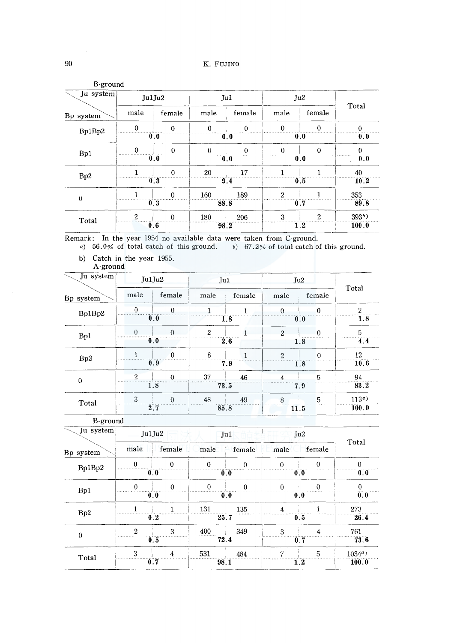| B-ground     |              |          |              |                |                |                |          |
|--------------|--------------|----------|--------------|----------------|----------------|----------------|----------|
| Ju system    | Ju1Ju2       |          | Ju1          |                | Ju2            |                |          |
| Bp system    | male         | female   | male         | female         | male           | female         | Total    |
| Bp1Bp2       | $\Omega$     | $\theta$ | $\theta$     | $\Omega$       | $\mathbf{0}$   | $\theta$       | $\Omega$ |
|              |              | 0.0      |              | 0.0            |                | 0.0            | 0.0      |
| Bp1          | $\Omega$     | $\theta$ | $\mathbf{0}$ | 0              | 0              | $\theta$       | U        |
|              |              | 0.0      |              | $\mathbf{0.0}$ |                | 0.0            | 0.0      |
| Bp2          |              | $\Omega$ | 20           | 17             |                |                | 40       |
|              |              | 0.3      |              | 9.4            |                | 0.5            | 10.2     |
| $\mathbf{0}$ |              | $\Omega$ | 160          | 189            | $\overline{2}$ |                | 353      |
|              |              | 0.3      | 88.8         |                |                | 0.7            | 89.8     |
| Total        | $\mathbf{2}$ | $\Omega$ | 180          | 206            | 3              | $\overline{2}$ | $393b$ ) |
|              |              | 0.6      | 98.2         |                |                | 1.2            | 100.0    |

Remark: In the year 1954 no available data were taken from C-ground.

*a*) 56.0% of total catch of this ground.  $\delta$  67.2% of total catch of this ground.

- b) Catch in the year 1955.
- A-ground

| Ju system |          | JulJu2   |                | Ju1    |                | Ju2             |                  |  |
|-----------|----------|----------|----------------|--------|----------------|-----------------|------------------|--|
| Bp system | male     | female   | male           | female | male           | female          | Total            |  |
| Bp1Bp2    | 0        | $\Omega$ |                |        |                | $\theta$        | $\mathfrak{D}$   |  |
|           |          | 0.0      | 1.8            |        | 0.0            |                 | 1.8              |  |
| Bp1       | $\Omega$ | ∩        | $\mathfrak{D}$ |        | $\mathfrak{D}$ | $\theta$        | 5                |  |
|           |          | 0,0      | 2.6            |        | 1.8            |                 | 4.4              |  |
| Bp2       |          | $\Omega$ | 8              |        | $\overline{2}$ | $\theta$        | 12               |  |
|           |          | 0.9      | 7.9            |        | 1.8            |                 | 10.6             |  |
| $\theta$  | 2        | $\Omega$ | 37             | 46     |                | 5               | 94               |  |
|           |          | 1.8      | 73.5           |        | 7.9            |                 | 83.2             |  |
| Total     | 3        | $\Omega$ | 48             | 49     | 8              | $5\overline{5}$ | 113 <sup>c</sup> |  |
|           |          | 2.7      | 85.8           |        | 11.5           |                 | 100.0            |  |
|           |          |          |                |        |                |                 |                  |  |

B-ground  $\sum_{i=1}^{n}$  In order  $\sum_{i=1}^{n}$ 

Ju system Ju1Ju2  $\Box$  Ju1

Total Bp system ale female male female male female Bp1Bp2 I ·· 0 0 0  $0 \quad | \quad 0 \quad | \quad 0 \quad | \quad 0$ o:o 0.0  $\begin{array}{|c|c|c|c|c|c|c|c|c|c|c|c|} \hline 0.0 & 0.0 & 0.0 & 0.0 \ \hline \end{array}$  $\begin{array}{c|c} 0 & 0 & 0 \\ \hline 0.0 & 0.0 & 0.0 \end{array}$ Bpl I 0 0 0 0.0 0.0  $\begin{array}{c|c|c} & 1 & .131 \\ \hline \end{array}$ 135 4  $\bf{1}$ 273  $Bp2$   $\begin{array}{|c|c|c|c|c|}\n\hline\n1 & 1 & 131\n\end{array}$ 25.7 26.4. 0.5 349 3 761 0  $2 \times 3 \times 400$ 4 o.s *i2A*  0.7 73.6  $\frac{1}{2}$  5  $1034^d)$ 531 484 7 Total  $\begin{array}{|c|c|c|}\n\hline\n3 & 4 \\
\hline\n0.7 & \hline\n\end{array}$  $\Box$  $98.1$ L2 100:0 I

Ju2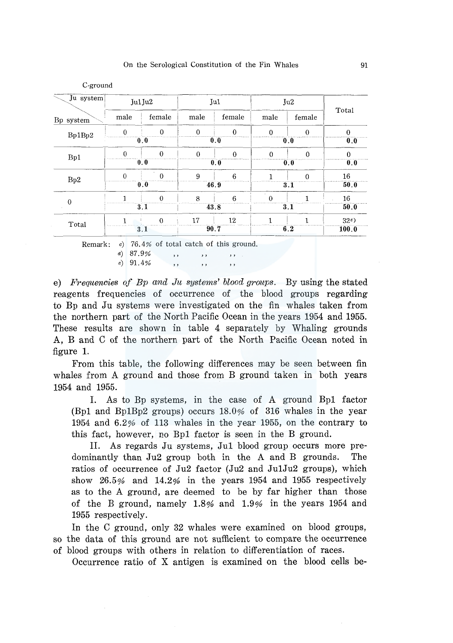C-ground

*e)* 91.4%

 $, ,$ 

| Ju system   | Jul Ju2  |          | Ju1      |          | Ju2      |          |          |
|-------------|----------|----------|----------|----------|----------|----------|----------|
| Bp system   | male     | female   | male     | female   | male     | female   | Total    |
| Bp1Bp2      | $\Omega$ | $\Omega$ | $\theta$ | $\theta$ | Ω        | $\Omega$ | $\Omega$ |
|             |          | 0,0      |          | 0.0      |          | 0.0      | 0.0      |
| Bp1         | $\Omega$ | $\theta$ | $\theta$ | $\Omega$ | O        | 0        |          |
|             |          | 0.0      |          | 0.0      |          | 0.0      | 0.0      |
| Bp2         | $\Omega$ | $\Omega$ | 9        | 6        |          | $\Omega$ | 16       |
|             |          | 0.0      |          | 46.9     |          | 3.1      | 50.0     |
| $\mathbf 0$ |          | $\Omega$ | 8        | 6        | $\Omega$ |          | 16       |
|             |          | 3.1      |          | 43.8     |          | 3.1      | 50.0     |
|             |          | $\Omega$ | 17       | 12       |          |          | 32e      |
| Total       |          | 3.1      |          | 90.7     |          | 6.2      | 100.0    |

e) *Frequencies of Bp and Ju systems' blood groups.* By using the stated reagents frequencies of occurrence of the blood groups regarding to Bp and Ju systems were investigated on the fin whales taken from the northern part of the North Pacific Ocean in the years 1954 and 1955. These results are shown in table 4 separately by Whaling grounds A, B and C of the northern part of the North Pacific Ocean noted in figure 1.

 $, ,$ 

 $, ,$ 

From this table, the following differences may be seen between fin whales from A ground and those from B ground taken in both years 1954 and 1955.

I. As to Bp systems, in the case of A ground Bpl factor (Bpl and Bp1Bp2 groups) occurs 18.0% of 316 whales in the year 1954 and 6.2% of 113 whales in the year 1955, on the contrary to this fact, however, no Bpl factor is seen in the B ground.

II. As regards Ju systems, Jul blood group occurs more predominantly than  $Ju2$  group both in the A and B grounds. The ratios of occurrence of Ju2 factor (Ju2 and Ju1Ju2 groups), which show 26.5% and 14.2% in the years 1954 and 1955 respectively as to the A ground, are deemed to be by far higher than those of the B ground, namely 1.8% and 1.9% in the years 1954 and 1955 respectively.

In the C ground, only 32 whales were examined on blood groups, so the data of this ground are not sufficient to compare the occurrence of blood groups with others in relation to differentiation of races.

Occurrence ratio of X antigen is examined on the blood cells be-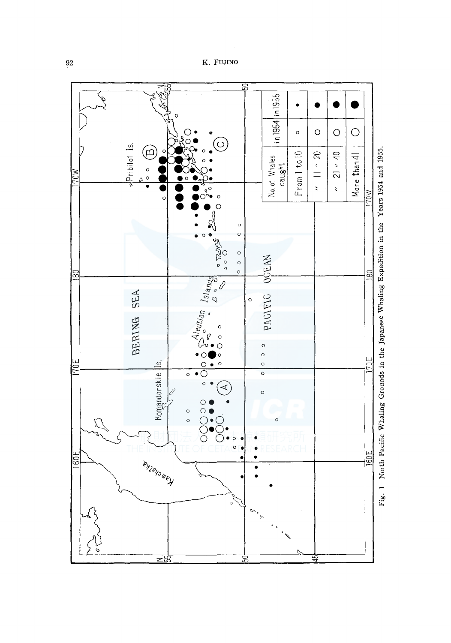K. FUJINO

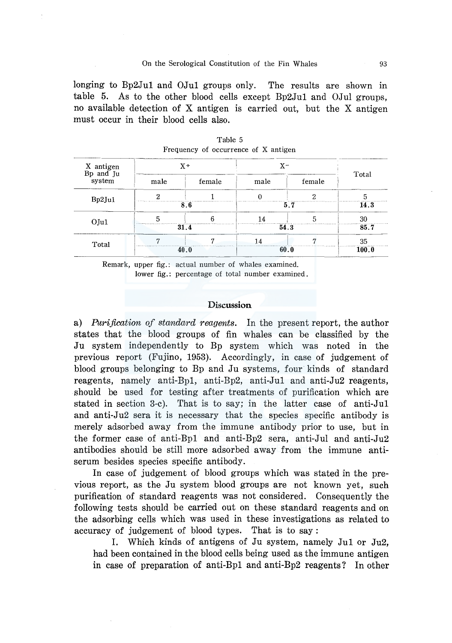longing to Bp2Jul and OJul groups only. The results are shown in table 5. As to the other blood cells except Bp2Jul and OJul groups, no available detection of X antigen is carried out, but the X antigen must occur in their blood cells also.

| X antigen<br>Bp and Ju |      | $X +$  | $X-$ |        |       |
|------------------------|------|--------|------|--------|-------|
| system                 | male | female | male | female | Total |
| Bp2Ju1                 |      |        |      |        |       |
|                        |      | 8.6    |      | 5.7    | 14.3  |
| $O$ Jul                |      |        |      |        | 30    |
|                        |      | 31.4   |      | 54.3   | 85.7  |
| Total                  |      |        |      |        | 35    |
|                        |      | 40.0   |      | 60.0   | 100.0 |

Table 5 Frequency of occurrence of x antigen

Remark, upper fig.: actual number of whales examined. lower fig.: percentage of total number examined.

#### Discussion

a) *Purification of standard reagents.* In the present report, the author states that the blood groups of fin whales can be classified by the Ju system independently to Bp system which was noted in the previous report (Fujino, 1953). Accordingly, in case of judgement of blood groups belonging to Bp and Ju systems, four kinds of standard reagents, namely anti-Bpl, anti-Bp2, anti-Jul and anti-Ju2 reagents, should be used for testing after treatments of purification which are stated in section 3-c). That is to say; in the latter case of anti-Jul and anti-Ju2 sera it is necessary that the species specific antibody is merely adsorbed away from the immune antibody prior to use, but in the former case of anti-Bpl and anti-Bp2 sera, anti-Jul and anti-Ju2 antibodies should be still more adsorbed away from the immune antiserum besides species specific antibody.

In case of judgement of blood groups which was stated in the previous report, as the Ju system blood groups are not known yet, such purification of standard reagents was not considered. Consequently the following tests should be carried out on these standard reagents and on the adsorbing cells which was used in these investigations as related to accuracy of judgement of blood types. That is to say:

I. Which kinds of antigens of Ju system, namely Jul or Ju2, had been contained in the blood cells being used as the immune antigen in case of preparation of anti-Bpl and anti-Bp2 reagents? In other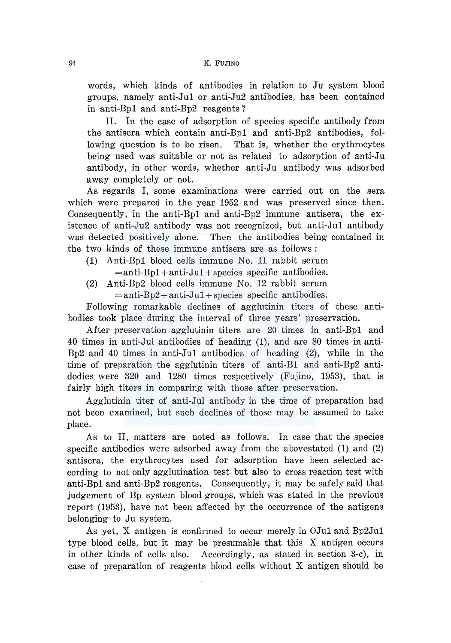words, which kinds of antibodies in relation to Ju system blood groups, namely anti-Jul or anti-Ju2 antibodies, has been contained in anti-Bpl and anti-Bp2 reagents?

II. In the case of adsorption of species specific antibody from the antisera which contain anti-Bpl and anti-Bp2 antibodies, following question is to be risen. That is, whether the erythrocytes being used was suitable or not as related to adsorption of anti-Ju antibody, in other words, whether anti-Ju antibody was adsorbed away completely or not.

As regards I, some examinations were carried out on the sera which were prepared in the year 1952 and was preserved since then. Consequently, in the anti-Bpl and anti-Bp2 immune antisera, the existence of anti-Ju2 antibody was not recognized, but anti-Jul antibody was detected positively alone. Then the antibodies being contained in the two kinds of these immune antisera are as follows :

- (1) Anti-Bpl blood cells immune No. 11 rabbit serum  $=$ anti-Bp1 + anti-Jul + species specific antibodies.
- (2) Anti-Bp2 blood cells immune No. 12 rabbit serum  $=$ anti-Bp2 + anti-Ju1 + species specific antibodies.

Following remarkable declines of agglutinin titers of these antibodies took place during the interval of three years' preservation.

After preservation agglutinin titers are 20 times in anti-Bpl and 40 times in anti-Jul antibodies of heading (1), and are 80 times in anti-Bp2 and 40 times in anti-Jul antibodies of heading (2), while in the time of preparation the agglutinin titers of anti-El and anti-Bp2 antidodies were 320 and 1280 times respectively (Fujino, 1953), that is fairly high titers in comparing with those after preservation.

Agglutinin titer of anti-Jul antibody in the time of preparation had not been examined, but such declines of those may be assumed to take place.

As to II, matters are noted as follows. In case that the species specific antibodies were adsorbed away from the abovestated (1) and (2) antisera, the erythrocytes used for adsorption have been selected according to not only agglutination test but also to cross reaction test with anti-Bpl and anti-Bp2 reagents. Consequently, it may be safely said that judgement of Bp system blood groups, which was stated in the previous report (1953), have not been affected by the occurrence of the antigens belonging to Ju system.

As yet, X antigen is confirmed to occur merely in OJul and Bp2Jul type blood cells, but it may be presumable that this X antigen occurs in other kinds of cells also. Accordingly, as stated in section 3-c), in case of preparation of reagents blood cells without X antigen should be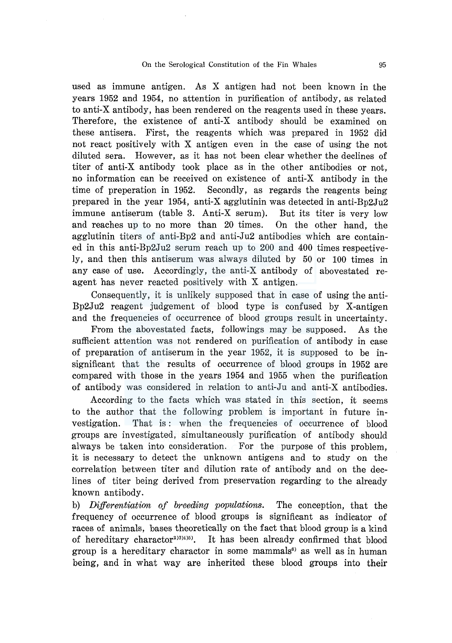used as immune antigen. As X antigen had not been known in the years 1952 and 1954, no attention in purification of antibody, as related to anti-X antibody, has been rendered on the reagents used in these years. Therefore, the existence of anti-X antibody should be examined on these antisera. First, the reagents which was prepared in 1952 did not react positively with X antigen even in the case of using the not diluted sera. However, as it has not been clear whether the declines of titer of anti-X antibody took place as in the other antibodies or not, no information can be received on existence of anti-X antibody in the time of preperation in 1952. Secondly, as regards the reagents being prepared in the year 1954, anti-X agglutinin was detected in anti-Bp2Ju2 immune antiserum (table 3. Anti-X serum). But its titer is very low and reaches up to no more than 20 times. On the other hand, the agglutinin titers of anti-Bp2 and anti-Ju2 antibodies which are contained in this anti-Bp2Ju2 serum reach up to 200 and 400 times respectively, and then this antiserum was always diluted by 50 or 100 times in any case of use. Accordingly, the anti-X antibody of abovestated reagent has never reacted positively with X antigen.

Consequently, it is unlikely supposed that in case of using the anti-Bp2Ju2 reagent judgement of blood type is confused by X-antigen and the frequencies of occurrence of blood groups result in uncertainty.

From the abovestated facts, followings may be supposed. As the sufficient attention was not rendered on purification of antibody in case of preparation of antiserum in the year 1952, it is supposed to be insignificant that the results of occurrence of blood groups in 1952 are compared with those in the years 1954 and 1955 when the purification of antibody was considered in relation to anti-Ju and anti-X antibodies.

According to the facts which was stated in this section, it seems to the author that the following problem is important in future investigation. That is : when the frequencies of occurrence of blood groups are investigated, simultaneously purification of antibody should always be taken into consideration. For the purpose of this problem, it is necessary to detect the unknown antigens and to study on the correlation between titer and dilution rate of antibody and on the declines of titer being derived from preservation regarding to the already known antibody.

b) *Differentiation of breeding populations*. The conception, that the frequency of occurrence of blood groups is significant as indicator of races of animals, bases theoretically on the fact that blood group is a kind of hereditary charactor<sup>2)3</sup> It has been already confirmed that blood group is a hereditary charactor in some mammals<sup>6</sup> as well as in human being, and in what way are inherited these blood groups into their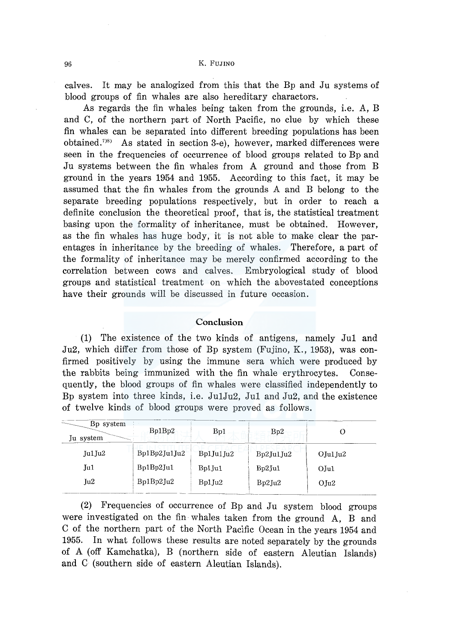calves. It may be analogized from this that the Bp and Ju systems of blood groups of fin whales are also hereditary charactors.

As regards the fin whales being taken from the grounds, i.e. A, B and C, of the northern part of North Pacific, no clue by which these fin whales can be separated into different breeding populations has been obtained.<sup>7)8</sup> As stated in section 3-e), however, marked differences were seen in the frequencies of occurrence of blood groups related to Bp and Ju systems between the fin whales from A ground and those from B ground in the years 1954 and 1955. According to this fact, it may be assumed that the fin whales from the grounds A and B belong to the separate breeding populations respectively, but in order to reach a definite conclusion the theoretical proof, that is, the statistical treatment basing upon the formality of inheritance, must be obtained. However, as the fin whales has huge body, it is not able to make clear the parentages in inheritance by the breeding of whales. Therefore, a part of the formality of inheritance may be merely confirmed according to the correlation between cows and calves. Embryological study of blood groups and statistical treatment on which the abovestated conceptions have their grounds will be discussed in future occasion.

### **Conclusion**

**(1)** The existence of the two kinds of antigens, namely Jul and Ju2, which differ from those of Bp system (Fujino, K., 1953), was confirmed positively by using the immune sera which were produced by the rabbits being immunized with the fin whale erythrocytes. Consequently, the blood groups of fin whales were classified independently to Bp system into three kinds, i.e. Ju1Ju2, Jul and Ju2, and the existence of twelve kinds of blood groups were proved as follows.

| B <sub>p</sub> system<br>Ju system | Bp1Bp2       | Bp1       | Bp2       |                   |
|------------------------------------|--------------|-----------|-----------|-------------------|
| Jul Ju <sub>2</sub>                | Bp1Bp2Ju1Ju2 | Bp1Ju1Ju2 | Bp2Ju1Ju2 | $O$ Ju $1$ Ju $2$ |
| Ju1                                | Bp1Bp2Ju1    | Bp1 Ju1   | Bp2Ju1    | $O$ Jul           |
| Ju2                                | Bp1Bp2Ju2    | Bp1Ju2    | Bp2Ju2    | $O$ Ju2           |

(2) Frequencies of occurrence of Bp and Ju system blood groups were investigated on the fin whales taken from the ground A, B and C of the northern part of the North Pacific Ocean in the years 1954 and 1955. In what follows these results are noted separately by the grounds of A (off Kamchatka), B (northern side of eastern Aleutian Islands) and C (southern side of eastern Aleutian Islands).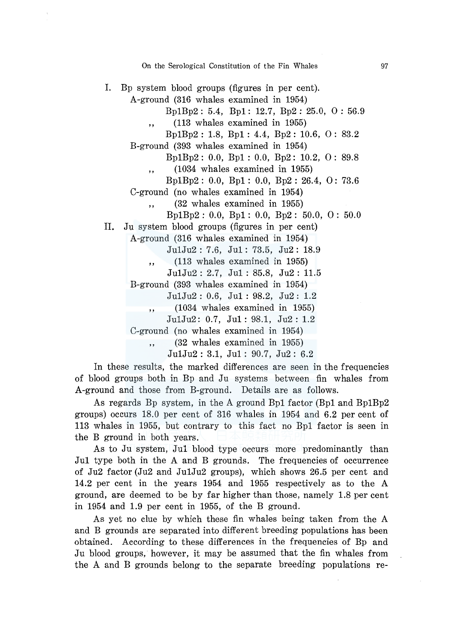On the Serological Constitution of the Fin Whales

I. Bp system blood groups (figures in per cent).

A-ground (316 whales examined in 1954)

Bp1Bp2: 5.4, Bpl: 12.7, Bp2: 25.0, 0: 56.9

", (113 whales examined in 1955)

Bp1Bp2 : 1.8, Bpl : 4.4, Bp2 : 10.6, 0 : 83.2

B-ground (393 whales examined in 1954)

Bp1Bp2 : 0.0, Bpl : 0.0, Bp2: 10.2, 0 : 89.8

 $,$  (1034 whales examined in 1955)

Bp1Bp2 : 0.0, Bpl : 0.0, Bp2 : 26.4, 0: 73.6

C-ground (no whales examined in 1954)

,, (32 whales examined in 1955)

Bp1Bp2 : 0.0, Bpl : 0.0, Bp2 : 50.0, 0 : 50.0

II. Ju system blood groups (figures in per cent)

A-ground (316 whales examined in 1954)

Ju1Ju2: 7.6, Jul: 73.5, Ju2: 18.9

 $\ldots$  (113 whales examined in 1955)

Ju1Ju2: 2.7, Jul: 85.8, Ju2: 11.5

B-ground (393 whales examined in 1954)

Ju1Ju2: 0.6, Jul : 98.2, Ju2: 1.2

 $(1034 \text{ whales examined in } 1955)$ 

Ju1Ju2: 0.7, Jul: 98.1, Ju2: 1.2

C-ground (no whales examined in 1954)

, , (32 whales examined in 1955)

Ju1Ju2: 3.1, Jul: 90.7, Ju2: 6.2

In these results, the marked differences are seen in the frequencies of blood groups both in Bp and Ju systems between fin whales from A-ground and those from B-ground. Details are as follows.

As regards Bp system, in the A ground Bpl factor (Bpl and Bp1Bp2 groups) occurs 18.0 per cent of 316 whales in 1954 and 6.2 per cent of 113 whales in 1955, but contrary to this fact no Bpl factor is seen in the B ground in both years.

As to Ju system, Jul blood type occurs more predominantly than Jul type both in the A and B grounds. The frequencies of occurrence of Ju2 factor (Ju2 and Ju1Ju2 groups), which shows 26.5 per cent and 14.2 per cent in the years 1954 and 1955 respectively as to the A ground, are deemed to be by far higher than those, namely 1.8 per cent in 1954 and 1.9 per cent in 1955, of the B ground.

As yet no clue by which these fin whales being taken from the A and B grounds are separated into different breeding populations has been obtained. According to these differences in the frequencies of Bp and Ju blood groups, however, it may be assumed that the fin whales from the A and B grounds belong to the separate breeding populations re-